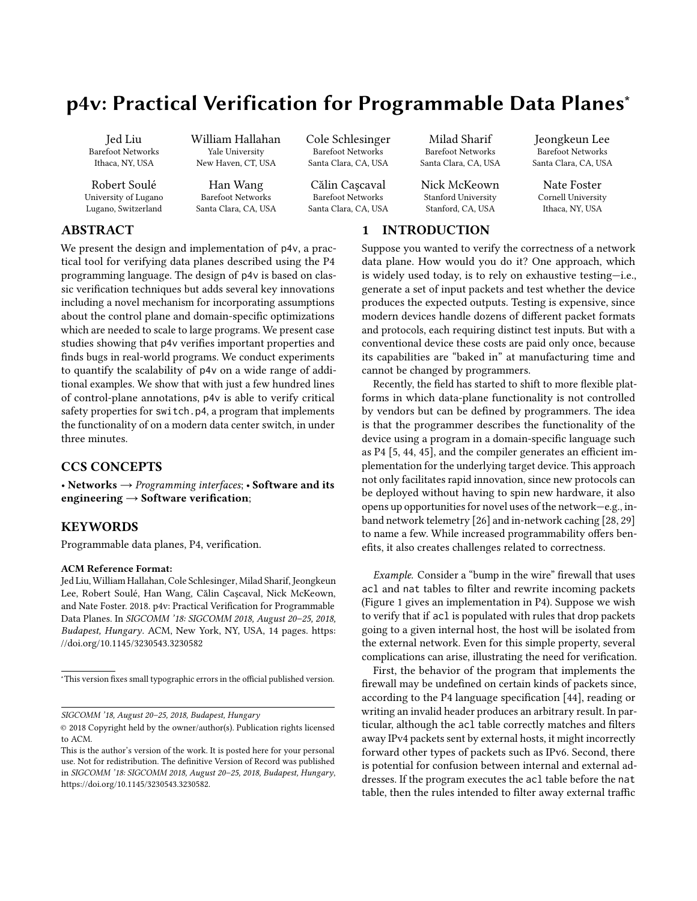# p4v: Practical Verification for Programmable Data Planes<sup>∗</sup>

Jed Liu Barefoot Networks Ithaca, NY, USA

Robert Soulé University of Lugano Lugano, Switzerland

William Hallahan Yale University New Haven, CT, USA

Han Wang Barefoot Networks Santa Clara, CA, USA Cole Schlesinger Barefoot Networks Santa Clara, CA, USA

Călin Caşcaval Barefoot Networks Santa Clara, CA, USA

Milad Sharif Barefoot Networks Santa Clara, CA, USA

Nick McKeown Stanford University Stanford, CA, USA

# 1 INTRODUCTION

Jeongkeun Lee Barefoot Networks Santa Clara, CA, USA

> Nate Foster Cornell University Ithaca, NY, USA

# ABSTRACT

We present the design and implementation of p4v, a practical tool for verifying data planes described using the P4 programming language. The design of p4v is based on classic verification techniques but adds several key innovations including a novel mechanism for incorporating assumptions about the control plane and domain-specific optimizations which are needed to scale to large programs. We present case studies showing that p4v verifies important properties and finds bugs in real-world programs. We conduct experiments to quantify the scalability of p4v on a wide range of additional examples. We show that with just a few hundred lines of control-plane annotations, p4v is able to verify critical safety properties for switch.p4, a program that implements the functionality of on a modern data center switch, in under three minutes.

# CCS CONCEPTS

• Networks  $\rightarrow$  Programming interfaces; • Software and its engineering  $\rightarrow$  Software verification;

# KEYWORDS

Programmable data planes, P4, verification.

#### ACM Reference Format:

Jed Liu, William Hallahan, Cole Schlesinger, Milad Sharif, Jeongkeun Lee, Robert Soulé, Han Wang, Călin Caşcaval, Nick McKeown, and Nate Foster. 2018. p4v: Practical Verification for Programmable Data Planes. In SIGCOMM '18: SIGCOMM 2018, August 20–25, 2018, Budapest, Hungary. ACM, New York, NY, USA, [14](#page-13-0) pages. [https:](https://doi.org/10.1145/3230543.3230582) [//doi.org/10.1145/3230543.3230582](https://doi.org/10.1145/3230543.3230582)

<sup>∗</sup>This version fixes small typographic errors in the official published version.

SIGCOMM '18, August 20–25, 2018, Budapest, Hungary

Suppose you wanted to verify the correctness of a network data plane. How would you do it? One approach, which is widely used today, is to rely on exhaustive testing—i.e., generate a set of input packets and test whether the device produces the expected outputs. Testing is expensive, since modern devices handle dozens of different packet formats and protocols, each requiring distinct test inputs. But with a conventional device these costs are paid only once, because its capabilities are "baked in" at manufacturing time and cannot be changed by programmers.

Recently, the field has started to shift to more flexible platforms in which data-plane functionality is not controlled by vendors but can be defined by programmers. The idea is that the programmer describes the functionality of the device using a program in a domain-specific language such as P4 [\[5,](#page-12-0) [44,](#page-13-1) [45\]](#page-13-2), and the compiler generates an efficient implementation for the underlying target device. This approach not only facilitates rapid innovation, since new protocols can be deployed without having to spin new hardware, it also opens up opportunities for novel uses of the network—e.g., inband network telemetry [\[26\]](#page-13-3) and in-network caching [\[28,](#page-13-4) [29\]](#page-13-5) to name a few. While increased programmability offers benefits, it also creates challenges related to correctness.

Example. Consider a "bump in the wire" firewall that uses acl and nat tables to filter and rewrite incoming packets (Figure [1](#page-2-0) gives an implementation in P4). Suppose we wish to verify that if acl is populated with rules that drop packets going to a given internal host, the host will be isolated from the external network. Even for this simple property, several complications can arise, illustrating the need for verification.

First, the behavior of the program that implements the firewall may be undefined on certain kinds of packets since, according to the P4 language specification [\[44\]](#page-13-1), reading or writing an invalid header produces an arbitrary result. In particular, although the acl table correctly matches and filters away IPv4 packets sent by external hosts, it might incorrectly forward other types of packets such as IPv6. Second, there is potential for confusion between internal and external addresses. If the program executes the acl table before the nat table, then the rules intended to filter away external traffic

<sup>©</sup> 2018 Copyright held by the owner/author(s). Publication rights licensed to ACM.

This is the author's version of the work. It is posted here for your personal use. Not for redistribution. The definitive Version of Record was published in SIGCOMM '18: SIGCOMM 2018, August 20–25, 2018, Budapest, Hungary, [https://doi.org/10.1145/3230543.3230582.](https://doi.org/10.1145/3230543.3230582)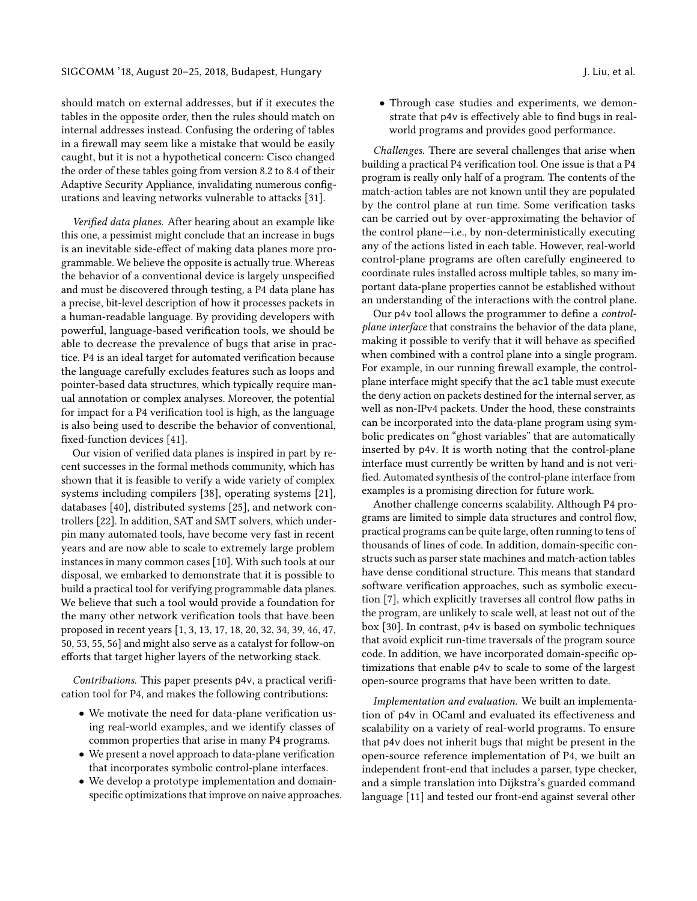should match on external addresses, but if it executes the tables in the opposite order, then the rules should match on internal addresses instead. Confusing the ordering of tables in a firewall may seem like a mistake that would be easily caught, but it is not a hypothetical concern: Cisco changed the order of these tables going from version 8.2 to 8.4 of their Adaptive Security Appliance, invalidating numerous configurations and leaving networks vulnerable to attacks [\[31\]](#page-13-6).

Verified data planes. After hearing about an example like this one, a pessimist might conclude that an increase in bugs is an inevitable side-effect of making data planes more programmable. We believe the opposite is actually true. Whereas the behavior of a conventional device is largely unspecified and must be discovered through testing, a P4 data plane has a precise, bit-level description of how it processes packets in a human-readable language. By providing developers with powerful, language-based verification tools, we should be able to decrease the prevalence of bugs that arise in practice. P4 is an ideal target for automated verification because the language carefully excludes features such as loops and pointer-based data structures, which typically require manual annotation or complex analyses. Moreover, the potential for impact for a P4 verification tool is high, as the language is also being used to describe the behavior of conventional, fixed-function devices [\[41\]](#page-13-7).

Our vision of verified data planes is inspired in part by recent successes in the formal methods community, which has shown that it is feasible to verify a wide variety of complex systems including compilers [\[38\]](#page-13-8), operating systems [\[21\]](#page-13-9), databases [\[40\]](#page-13-10), distributed systems [\[25\]](#page-13-11), and network controllers [\[22\]](#page-13-12). In addition, SAT and SMT solvers, which underpin many automated tools, have become very fast in recent years and are now able to scale to extremely large problem instances in many common cases [\[10\]](#page-12-1). With such tools at our disposal, we embarked to demonstrate that it is possible to build a practical tool for verifying programmable data planes. We believe that such a tool would provide a foundation for the many other network verification tools that have been proposed in recent years [\[1,](#page-12-2) [3,](#page-12-3) [13,](#page-12-4) [17,](#page-13-13) [18,](#page-13-14) [20,](#page-13-15) [32,](#page-13-16) [34,](#page-13-17) [39,](#page-13-18) [46,](#page-13-19) [47,](#page-13-20) [50,](#page-13-21) [53,](#page-13-22) [55,](#page-13-23) [56\]](#page-13-24) and might also serve as a catalyst for follow-on efforts that target higher layers of the networking stack.

Contributions. This paper presents p4v, a practical verification tool for P4, and makes the following contributions:

- We motivate the need for data-plane verification using real-world examples, and we identify classes of common properties that arise in many P4 programs.
- We present a novel approach to data-plane verification that incorporates symbolic control-plane interfaces.
- We develop a prototype implementation and domainspecific optimizations that improve on naive approaches.

• Through case studies and experiments, we demonstrate that p4v is effectively able to find bugs in realworld programs and provides good performance.

Challenges. There are several challenges that arise when building a practical P4 verification tool. One issue is that a P4 program is really only half of a program. The contents of the match-action tables are not known until they are populated by the control plane at run time. Some verification tasks can be carried out by over-approximating the behavior of the control plane—i.e., by non-deterministically executing any of the actions listed in each table. However, real-world control-plane programs are often carefully engineered to coordinate rules installed across multiple tables, so many important data-plane properties cannot be established without an understanding of the interactions with the control plane.

Our p4v tool allows the programmer to define a controlplane interface that constrains the behavior of the data plane, making it possible to verify that it will behave as specified when combined with a control plane into a single program. For example, in our running firewall example, the controlplane interface might specify that the acl table must execute the deny action on packets destined for the internal server, as well as non-IPv4 packets. Under the hood, these constraints can be incorporated into the data-plane program using symbolic predicates on "ghost variables" that are automatically inserted by p4v. It is worth noting that the control-plane interface must currently be written by hand and is not verified. Automated synthesis of the control-plane interface from examples is a promising direction for future work.

Another challenge concerns scalability. Although P4 programs are limited to simple data structures and control flow, practical programs can be quite large, often running to tens of thousands of lines of code. In addition, domain-specific constructs such as parser state machines and match-action tables have dense conditional structure. This means that standard software verification approaches, such as symbolic execution [\[7\]](#page-12-5), which explicitly traverses all control flow paths in the program, are unlikely to scale well, at least not out of the box [\[30\]](#page-13-25). In contrast, p4v is based on symbolic techniques that avoid explicit run-time traversals of the program source code. In addition, we have incorporated domain-specific optimizations that enable p4v to scale to some of the largest open-source programs that have been written to date.

Implementation and evaluation. We built an implementation of p4v in OCaml and evaluated its effectiveness and scalability on a variety of real-world programs. To ensure that p4v does not inherit bugs that might be present in the open-source reference implementation of P4, we built an independent front-end that includes a parser, type checker, and a simple translation into Dijkstra's guarded command language [\[11\]](#page-12-6) and tested our front-end against several other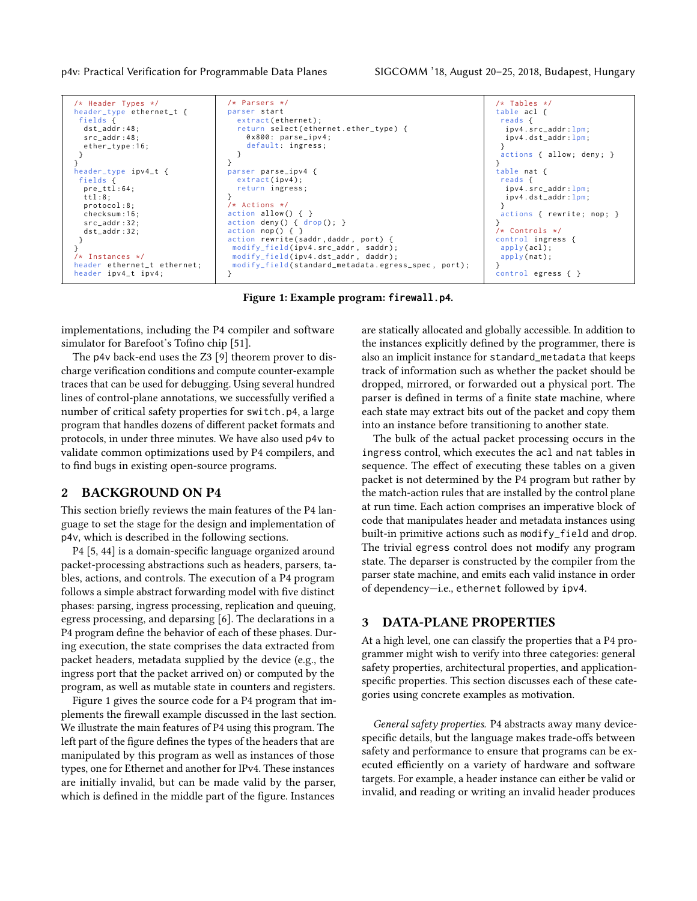```
/* Header Types */
header type ethernet t {
 fields {
  dst_addr :48;
  src_addr :48;
  ether_type :16;
 }
}
header_type ipv4_t {
 fields {
  pre_ttl :64;
  ttl :8;
  protocol :8;
  checksum :16;
  src_addr :32;
  dst_addr :32;
 }
}
/* Instances */
header ethernet_t ethernet ;
header ipv4_t ipv4 ;
                                      /* Parsers */
                                      parser start
                                         extract (ethernet);
                                         return select ( ethernet . ether_type ) {
                                           0 x800 : parse_ipv4 ;
                                           default: ingress;
                                         }
                                      }
                                      parser parse_ipv4 {
                                         extract (ipv4);
                                         return ingress ;
                                       }
/* Actions */
                                      action allow() { }<br>action deny() { drop(); }
                                      action deny () {
                                      action nop()action rewrite (saddr, daddr, port) {
                                        modify_field ( ipv4 . src_addr , saddr ) ;
modify_field ( ipv4 . dst_addr , daddr ) ;
                                       modify_field ( standard_metadata . egress_spec , port ) ;
                                      }
                                                                                                          /* Tables */
                                                                                                          table acl {
                                                                                                           reads {
                                                                                                             ipv4 . src_addr :lpm;
                                                                                                             ipv4 . dst_addr :lpm;
                                                                                                           }
                                                                                                            actions { allow; deny; }
                                                                                                          }
                                                                                                          table nat {
                                                                                                           reads {
                                                                                                             ipv4 . src_addr :lpm;
                                                                                                             ipv4 . dst_addr :lpm;
                                                                                                           }
                                                                                                            actions { rewrite; nop; }
                                                                                                          }
                                                                                                           /* Controls */
                                                                                                          control ingress {
                                                                                                           apply(acl);
                                                                                                           apply(nat);
                                                                                                          }
                                                                                                          control egress { }
```
Figure 1: Example program: **firewall.p4**.

implementations, including the P4 compiler and software simulator for Barefoot's Tofino chip [\[51\]](#page-13-26).

The p4v back-end uses the Z3 [\[9\]](#page-12-7) theorem prover to discharge verification conditions and compute counter-example traces that can be used for debugging. Using several hundred lines of control-plane annotations, we successfully verified a number of critical safety properties for switch.p4, a large program that handles dozens of different packet formats and protocols, in under three minutes. We have also used p4v to validate common optimizations used by P4 compilers, and to find bugs in existing open-source programs.

## 2 BACKGROUND ON P4

This section briefly reviews the main features of the P4 language to set the stage for the design and implementation of p4v, which is described in the following sections.

P4 [\[5,](#page-12-0) [44\]](#page-13-1) is a domain-specific language organized around packet-processing abstractions such as headers, parsers, tables, actions, and controls. The execution of a P4 program follows a simple abstract forwarding model with five distinct phases: parsing, ingress processing, replication and queuing, egress processing, and deparsing [\[6\]](#page-12-8). The declarations in a P4 program define the behavior of each of these phases. During execution, the state comprises the data extracted from packet headers, metadata supplied by the device (e.g., the ingress port that the packet arrived on) or computed by the program, as well as mutable state in counters and registers.

Figure [1](#page-2-0) gives the source code for a P4 program that implements the firewall example discussed in the last section. We illustrate the main features of P4 using this program. The left part of the figure defines the types of the headers that are manipulated by this program as well as instances of those types, one for Ethernet and another for IPv4. These instances are initially invalid, but can be made valid by the parser, which is defined in the middle part of the figure. Instances

are statically allocated and globally accessible. In addition to the instances explicitly defined by the programmer, there is also an implicit instance for standard\_metadata that keeps track of information such as whether the packet should be dropped, mirrored, or forwarded out a physical port. The parser is defined in terms of a finite state machine, where each state may extract bits out of the packet and copy them into an instance before transitioning to another state.

The bulk of the actual packet processing occurs in the ingress control, which executes the acl and nat tables in sequence. The effect of executing these tables on a given packet is not determined by the P4 program but rather by the match-action rules that are installed by the control plane at run time. Each action comprises an imperative block of code that manipulates header and metadata instances using built-in primitive actions such as modify\_field and drop. The trivial egress control does not modify any program state. The deparser is constructed by the compiler from the parser state machine, and emits each valid instance in order of dependency—i.e., ethernet followed by ipv4.

## 3 DATA-PLANE PROPERTIES

At a high level, one can classify the properties that a P4 programmer might wish to verify into three categories: general safety properties, architectural properties, and applicationspecific properties. This section discusses each of these categories using concrete examples as motivation.

General safety properties. P4 abstracts away many devicespecific details, but the language makes trade-offs between safety and performance to ensure that programs can be executed efficiently on a variety of hardware and software targets. For example, a header instance can either be valid or invalid, and reading or writing an invalid header produces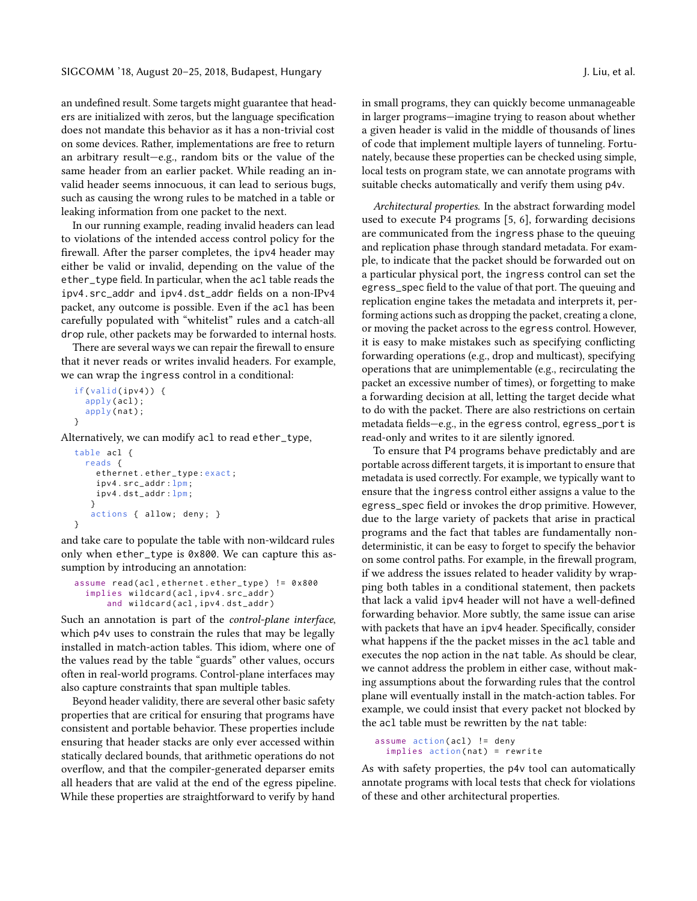an undefined result. Some targets might guarantee that headers are initialized with zeros, but the language specification does not mandate this behavior as it has a non-trivial cost on some devices. Rather, implementations are free to return an arbitrary result—e.g., random bits or the value of the same header from an earlier packet. While reading an invalid header seems innocuous, it can lead to serious bugs, such as causing the wrong rules to be matched in a table or leaking information from one packet to the next.

In our running example, reading invalid headers can lead to violations of the intended access control policy for the firewall. After the parser completes, the ipv4 header may either be valid or invalid, depending on the value of the ether\_type field. In particular, when the acl table reads the ipv4.src\_addr and ipv4.dst\_addr fields on a non-IPv4 packet, any outcome is possible. Even if the acl has been carefully populated with "whitelist" rules and a catch-all drop rule, other packets may be forwarded to internal hosts.

There are several ways we can repair the firewall to ensure that it never reads or writes invalid headers. For example, we can wrap the ingress control in a conditional:

```
if(valid(ipv4)) {apply(acl);
  apply(nat);
}
```
Alternatively, we can modify acl to read ether\_type,

```
table acl {
  reads {
    ethernet . ether_type : exact ;
    ipv4 . src_addr : lpm;
    ipv4 . dst_addr : lpm;
   }
   actions { allow; deny; }
}
```
and take care to populate the table with non-wildcard rules only when ether\_type is 0x800. We can capture this assumption by introducing an annotation:

```
assume read ( acl , ethernet . ether_type ) != 0 x800
  implies wildcard ( acl , ipv4 . src_addr )
       and wildcard ( acl , ipv4 . dst_addr )
```
Such an annotation is part of the control-plane interface, which p4v uses to constrain the rules that may be legally installed in match-action tables. This idiom, where one of the values read by the table "guards" other values, occurs often in real-world programs. Control-plane interfaces may also capture constraints that span multiple tables.

Beyond header validity, there are several other basic safety properties that are critical for ensuring that programs have consistent and portable behavior. These properties include ensuring that header stacks are only ever accessed within statically declared bounds, that arithmetic operations do not overflow, and that the compiler-generated deparser emits all headers that are valid at the end of the egress pipeline. While these properties are straightforward to verify by hand in small programs, they can quickly become unmanageable in larger programs—imagine trying to reason about whether a given header is valid in the middle of thousands of lines of code that implement multiple layers of tunneling. Fortunately, because these properties can be checked using simple, local tests on program state, we can annotate programs with suitable checks automatically and verify them using p4v.

Architectural properties. In the abstract forwarding model used to execute P4 programs [\[5,](#page-12-0) [6\]](#page-12-8), forwarding decisions are communicated from the ingress phase to the queuing and replication phase through standard metadata. For example, to indicate that the packet should be forwarded out on a particular physical port, the ingress control can set the egress\_spec field to the value of that port. The queuing and replication engine takes the metadata and interprets it, performing actions such as dropping the packet, creating a clone, or moving the packet across to the egress control. However, it is easy to make mistakes such as specifying conflicting forwarding operations (e.g., drop and multicast), specifying operations that are unimplementable (e.g., recirculating the packet an excessive number of times), or forgetting to make a forwarding decision at all, letting the target decide what to do with the packet. There are also restrictions on certain metadata fields—e.g., in the egress control, egress\_port is read-only and writes to it are silently ignored.

To ensure that P4 programs behave predictably and are portable across different targets, it is important to ensure that metadata is used correctly. For example, we typically want to ensure that the ingress control either assigns a value to the egress\_spec field or invokes the drop primitive. However, due to the large variety of packets that arise in practical programs and the fact that tables are fundamentally nondeterministic, it can be easy to forget to specify the behavior on some control paths. For example, in the firewall program, if we address the issues related to header validity by wrapping both tables in a conditional statement, then packets that lack a valid ipv4 header will not have a well-defined forwarding behavior. More subtly, the same issue can arise with packets that have an ipv4 header. Specifically, consider what happens if the the packet misses in the acl table and executes the nop action in the nat table. As should be clear, we cannot address the problem in either case, without making assumptions about the forwarding rules that the control plane will eventually install in the match-action tables. For example, we could insist that every packet not blocked by the acl table must be rewritten by the nat table:

```
assume action (acl) != deny
  implies action (nat) = rewrite
```
As with safety properties, the p4v tool can automatically annotate programs with local tests that check for violations of these and other architectural properties.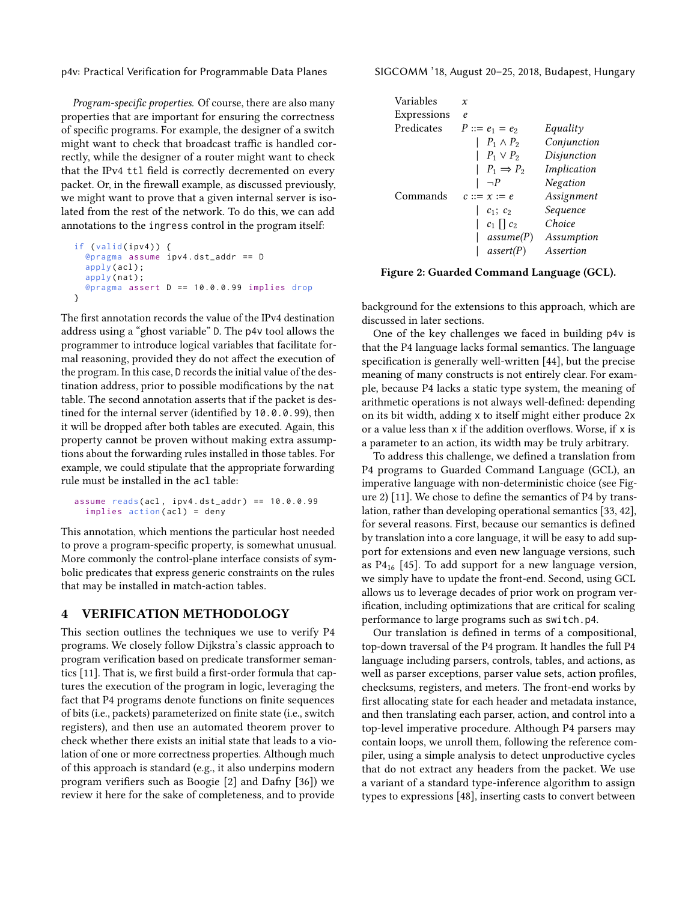p4v: Practical Verification for Programmable Data Planes SIGCOMM '18, August 20–25, 2018, Budapest, Hungary

Program-specific properties. Of course, there are also many properties that are important for ensuring the correctness of specific programs. For example, the designer of a switch might want to check that broadcast traffic is handled correctly, while the designer of a router might want to check that the IPv4 ttl field is correctly decremented on every packet. Or, in the firewall example, as discussed previously, we might want to prove that a given internal server is isolated from the rest of the network. To do this, we can add annotations to the ingress control in the program itself:

```
if (valid(ipv4)) {@pragma assume ipv4 . dst_addr == D
 apply(acl);
 apply(nat);
  @pragma assert D == 10.0.0.99 implies drop
}
```
The first annotation records the value of the IPv4 destination address using a "ghost variable" D. The p4v tool allows the programmer to introduce logical variables that facilitate formal reasoning, provided they do not affect the execution of the program. In this case, D records the initial value of the destination address, prior to possible modifications by the nat table. The second annotation asserts that if the packet is destined for the internal server (identified by 10.0.0.99), then it will be dropped after both tables are executed. Again, this property cannot be proven without making extra assumptions about the forwarding rules installed in those tables. For example, we could stipulate that the appropriate forwarding rule must be installed in the acl table:

```
assume reads ( acl , ipv4 . dst_addr ) == 10.0.0.99
  implies action (acl) = deny
```
This annotation, which mentions the particular host needed to prove a program-specific property, is somewhat unusual. More commonly the control-plane interface consists of symbolic predicates that express generic constraints on the rules that may be installed in match-action tables.

## 4 VERIFICATION METHODOLOGY

This section outlines the techniques we use to verify P4 programs. We closely follow Dijkstra's classic approach to program verification based on predicate transformer semantics [\[11\]](#page-12-6). That is, we first build a first-order formula that captures the execution of the program in logic, leveraging the fact that P4 programs denote functions on finite sequences of bits (i.e., packets) parameterized on finite state (i.e., switch registers), and then use an automated theorem prover to check whether there exists an initial state that leads to a violation of one or more correctness properties. Although much of this approach is standard (e.g., it also underpins modern program verifiers such as Boogie [\[2\]](#page-12-9) and Dafny [\[36\]](#page-13-27)) we review it here for the sake of completeness, and to provide

<span id="page-4-0"></span>

| Variables   | x                     |             |
|-------------|-----------------------|-------------|
| Expressions | e.                    |             |
| Predicates  | $P ::= e_1 = e_2$     | Equality    |
|             | $P_1 \wedge P_2$      | Conjunction |
|             | $P_1 \vee P_2$        | Disjunction |
|             | $P_1 \Rightarrow P_2$ | Implication |
|             | $\neg P$              | Negation    |
| Commands    | $c ::= x := e$        | Assignment  |
|             | $c_1$ ; $c_2$         | Sequence    |
|             | $c_1 \mid c_2$        | Choice      |
|             | assume(P)             | Assumption  |
|             | assert(P)             | Assertion   |
|             |                       |             |

Figure 2: Guarded Command Language (GCL).

background for the extensions to this approach, which are discussed in later sections.

One of the key challenges we faced in building p4v is that the P4 language lacks formal semantics. The language specification is generally well-written [\[44\]](#page-13-1), but the precise meaning of many constructs is not entirely clear. For example, because P4 lacks a static type system, the meaning of arithmetic operations is not always well-defined: depending on its bit width, adding x to itself might either produce 2x or a value less than x if the addition overflows. Worse, if x is a parameter to an action, its width may be truly arbitrary.

To address this challenge, we defined a translation from P4 programs to Guarded Command Language (GCL), an imperative language with non-deterministic choice (see Figure [2\)](#page-4-0) [\[11\]](#page-12-6). We chose to define the semantics of P4 by translation, rather than developing operational semantics [\[33,](#page-13-28) [42\]](#page-13-29), for several reasons. First, because our semantics is defined by translation into a core language, it will be easy to add support for extensions and even new language versions, such as  $P4_{16}$  [\[45\]](#page-13-2). To add support for a new language version, we simply have to update the front-end. Second, using GCL allows us to leverage decades of prior work on program verification, including optimizations that are critical for scaling performance to large programs such as switch.p4.

Our translation is defined in terms of a compositional, top-down traversal of the P4 program. It handles the full P4 language including parsers, controls, tables, and actions, as well as parser exceptions, parser value sets, action profiles, checksums, registers, and meters. The front-end works by first allocating state for each header and metadata instance, and then translating each parser, action, and control into a top-level imperative procedure. Although P4 parsers may contain loops, we unroll them, following the reference compiler, using a simple analysis to detect unproductive cycles that do not extract any headers from the packet. We use a variant of a standard type-inference algorithm to assign types to expressions [\[48\]](#page-13-30), inserting casts to convert between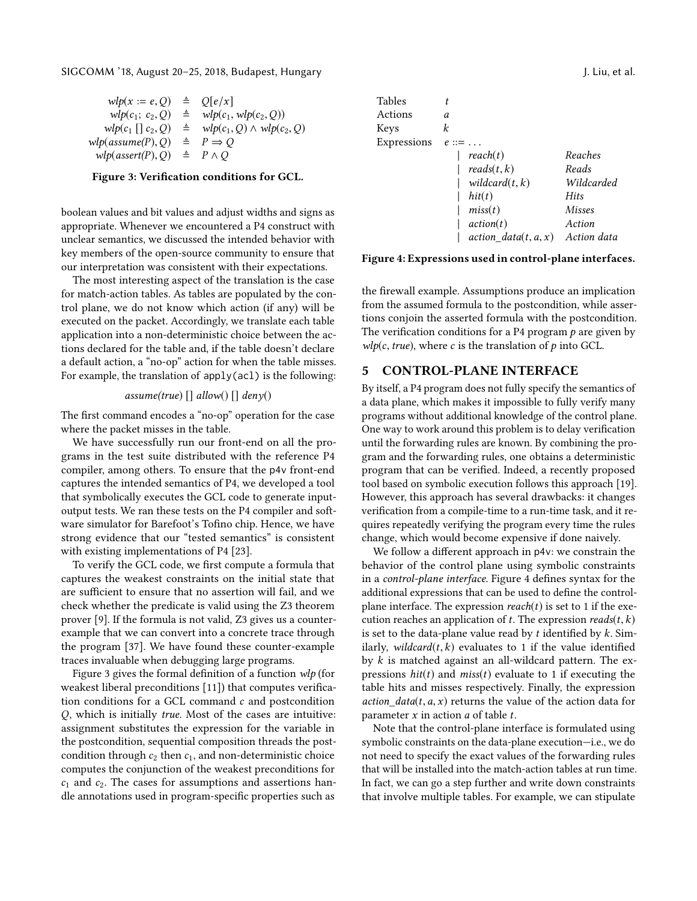<span id="page-5-0"></span>SIGCOMM '18, August 20–25, 2018, Budapest, Hungary J. Liu, et al.

| $wlp(x := e, Q)$     | ≜ | O e/x                            |
|----------------------|---|----------------------------------|
| $wlp(c_1; c_2, Q)$   | ≜ | $wlp(c_1, wlp(c_2, Q))$          |
|                      | ≜ |                                  |
| $wlp(c_1    c_2, Q)$ |   | $wlp(c_1, Q) \wedge wlp(c_2, Q)$ |
| wlp(assume(P), Q)    | ≜ | $P \Rightarrow Q$                |
| wlp(assert(P), Q)    |   | $\triangle$ $P \wedge Q$         |
|                      |   |                                  |

#### Figure 3: Verification conditions for GCL.

boolean values and bit values and adjust widths and signs as appropriate. Whenever we encountered a P4 construct with unclear semantics, we discussed the intended behavior with key members of the open-source community to ensure that our interpretation was consistent with their expectations.

The most interesting aspect of the translation is the case for match-action tables. As tables are populated by the control plane, we do not know which action (if any) will be executed on the packet. Accordingly, we translate each table application into a non-deterministic choice between the actions declared for the table and, if the table doesn't declare a default action, a "no-op" action for when the table misses. For example, the translation of apply(acl) is the following:

## assume(true) [] allow() [] deny()

The first command encodes a "no-op" operation for the case where the packet misses in the table.

We have successfully run our front-end on all the programs in the test suite distributed with the reference P4 compiler, among others. To ensure that the p4v front-end captures the intended semantics of P4, we developed a tool that symbolically executes the GCL code to generate inputoutput tests. We ran these tests on the P4 compiler and software simulator for Barefoot's Tofino chip. Hence, we have strong evidence that our "tested semantics" is consistent with existing implementations of P4 [\[23\]](#page-13-31).

To verify the GCL code, we first compute a formula that captures the weakest constraints on the initial state that are sufficient to ensure that no assertion will fail, and we check whether the predicate is valid using the Z3 theorem prover [\[9\]](#page-12-7). If the formula is not valid, Z3 gives us a counterexample that we can convert into a concrete trace through the program [\[37\]](#page-13-32). We have found these counter-example traces invaluable when debugging large programs.

Figure [3](#page-5-0) gives the formal definition of a function wlp (for weakest liberal preconditions [\[11\]](#page-12-6)) that computes verification conditions for a GCL command c and postcondition Q, which is initially true. Most of the cases are intuitive: assignment substitutes the expression for the variable in the postcondition, sequential composition threads the postcondition through  $c_2$  then  $c_1$ , and non-deterministic choice computes the conjunction of the weakest preconditions for  $c_1$  and  $c_2$ . The cases for assumptions and assertions handle annotations used in program-specific properties such as

<span id="page-5-1"></span>Tables  $t$ <br>Actions  $a$ Actions *a*<br>Keys *k* Keys *k*<br>Expressions *e* Expressions  $e ::= \dots$  $reach(t)$  Reaches<br>reads(t, k) Reads  $reads(t, k)$  Reads<br>wildcard(t, k) Wildcarded  $\textit{wildcard}(t, k)$  Wilds<br>hit(t) Hits <sup>|</sup> hit(t) Hits  $miss(t)$  Misses<br>  $action(t)$  Action |  $action(t)$  Action<br>|  $action \, data(t, a, x)$  Action |  $action_data(t, a, x)$  Action data

#### Figure 4: Expressions used in control-plane interfaces.

the firewall example. Assumptions produce an implication from the assumed formula to the postcondition, while assertions conjoin the asserted formula with the postcondition. The verification conditions for a P4 program  $p$  are given by  $wlp(c, true)$ , where c is the translation of p into GCL.

## 5 CONTROL-PLANE INTERFACE

By itself, a P4 program does not fully specify the semantics of a data plane, which makes it impossible to fully verify many programs without additional knowledge of the control plane. One way to work around this problem is to delay verification until the forwarding rules are known. By combining the program and the forwarding rules, one obtains a deterministic program that can be verified. Indeed, a recently proposed tool based on symbolic execution follows this approach [\[19\]](#page-13-33). However, this approach has several drawbacks: it changes verification from a compile-time to a run-time task, and it requires repeatedly verifying the program every time the rules change, which would become expensive if done naively.

We follow a different approach in p4v: we constrain the behavior of the control plane using symbolic constraints in a control-plane interface. Figure [4](#page-5-1) defines syntax for the additional expressions that can be used to define the controlplane interface. The expression  $reach(t)$  is set to 1 if the execution reaches an application of  $t$ . The expression  $reads(t, k)$ is set to the data-plane value read by  $t$  identified by  $k$ . Similarly, wildcard $(t, k)$  evaluates to 1 if the value identified by k is matched against an all-wildcard pattern. The expressions  $hit(t)$  and miss(t) evaluate to 1 if executing the table hits and misses respectively. Finally, the expression action\_data(t,  $a, x$ ) returns the value of the action data for parameter  $x$  in action  $a$  of table  $t$ .

Note that the control-plane interface is formulated using symbolic constraints on the data-plane execution—i.e., we do not need to specify the exact values of the forwarding rules that will be installed into the match-action tables at run time. In fact, we can go a step further and write down constraints that involve multiple tables. For example, we can stipulate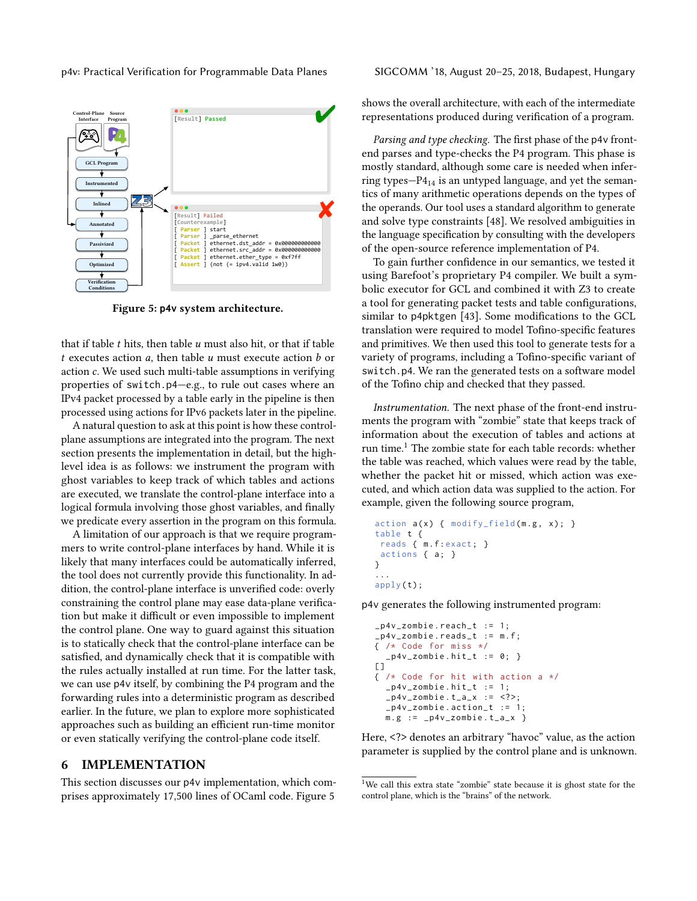p4v: Practical Verification for Programmable Data Planes SIGCOMM '18, August 20–25, 2018, Budapest, Hungary

<span id="page-6-0"></span>

Figure 5: **p4v** system architecture.

that if table  $t$  hits, then table  $u$  must also hit, or that if table t executes action  $a$ , then table  $u$  must execute action  $b$  or action c. We used such multi-table assumptions in verifying properties of switch.p4—e.g., to rule out cases where an IPv4 packet processed by a table early in the pipeline is then processed using actions for IPv6 packets later in the pipeline.

A natural question to ask at this point is how these controlplane assumptions are integrated into the program. The next section presents the implementation in detail, but the highlevel idea is as follows: we instrument the program with ghost variables to keep track of which tables and actions are executed, we translate the control-plane interface into a logical formula involving those ghost variables, and finally we predicate every assertion in the program on this formula.

A limitation of our approach is that we require programmers to write control-plane interfaces by hand. While it is likely that many interfaces could be automatically inferred, the tool does not currently provide this functionality. In addition, the control-plane interface is unverified code: overly constraining the control plane may ease data-plane verification but make it difficult or even impossible to implement the control plane. One way to guard against this situation is to statically check that the control-plane interface can be satisfied, and dynamically check that it is compatible with the rules actually installed at run time. For the latter task, we can use p4v itself, by combining the P4 program and the forwarding rules into a deterministic program as described earlier. In the future, we plan to explore more sophisticated approaches such as building an efficient run-time monitor or even statically verifying the control-plane code itself.

#### 6 IMPLEMENTATION

This section discusses our p4v implementation, which comprises approximately 17,500 lines of OCaml code. Figure [5](#page-6-0)

shows the overall architecture, with each of the intermediate representations produced during verification of a program.

Parsing and type checking. The first phase of the p4v frontend parses and type-checks the P4 program. This phase is mostly standard, although some care is needed when inferring types— $P_{14}$  is an untyped language, and yet the semantics of many arithmetic operations depends on the types of the operands. Our tool uses a standard algorithm to generate and solve type constraints [\[48\]](#page-13-30). We resolved ambiguities in the language specification by consulting with the developers of the open-source reference implementation of P4.

To gain further confidence in our semantics, we tested it using Barefoot's proprietary P4 compiler. We built a symbolic executor for GCL and combined it with Z3 to create a tool for generating packet tests and table configurations, similar to p4pktgen [\[43\]](#page-13-34). Some modifications to the GCL translation were required to model Tofino-specific features and primitives. We then used this tool to generate tests for a variety of programs, including a Tofino-specific variant of switch.p4. We ran the generated tests on a software model of the Tofino chip and checked that they passed.

Instrumentation. The next phase of the front-end instruments the program with "zombie" state that keeps track of information about the execution of tables and actions at run time.<sup>[1](#page-6-1)</sup> The zombie state for each table records: whether the table was reached, which values were read by the table, whether the packet hit or missed, which action was executed, and which action data was supplied to the action. For example, given the following source program,

```
action a(x) { modify_field (m.g, x); }
table t {
 reads { m . f : exact; }
 actions { a; }
}
...
apply(t);
```
p4v generates the following instrumented program:

```
_p4v_zombie . reach_t := 1;
-p4v_zzombie . reads_t := m.f;
{ /* Code for miss */
  -p4v_zzombie.hit_t := 0; }
\lceil]
{ /* Code for hit with action a */
  -p4v_zzombie.hit_t := 1;
  -p4v_zzombie t_a-x := <?>;
  -p4v_zombie . action_t := 1;
  m.g := p4v_zzombie.t_a_x
```
Here, <?> denotes an arbitrary "havoc" value, as the action parameter is supplied by the control plane and is unknown.

<span id="page-6-1"></span><sup>&</sup>lt;sup>1</sup>We call this extra state "zombie" state because it is ghost state for the control plane, which is the "brains" of the network.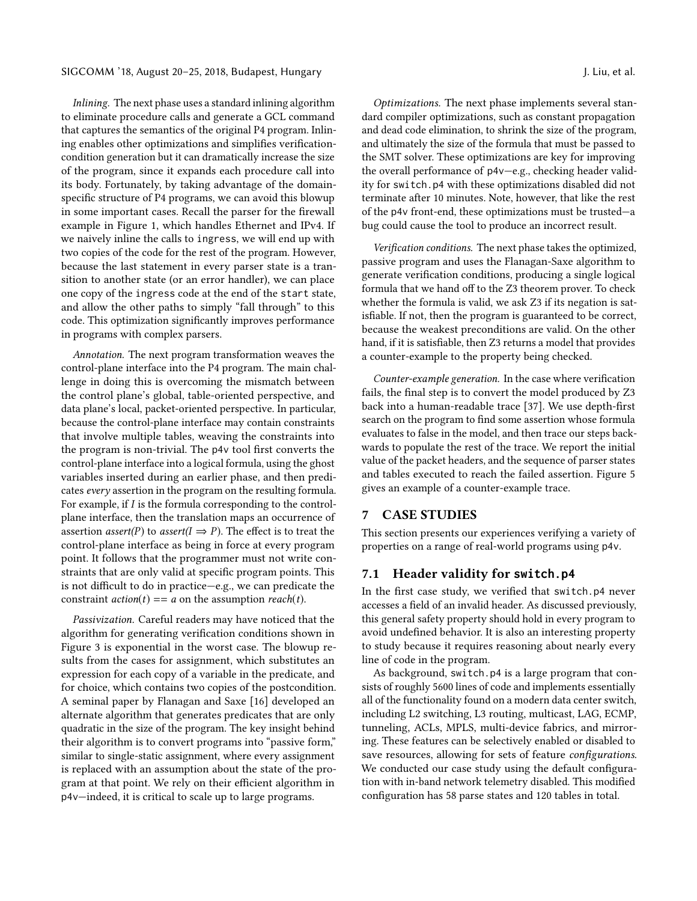SIGCOMM '18, August 20–25, 2018, Budapest, Hungary J. Liu, et al.

Inlining. The next phase uses a standard inlining algorithm to eliminate procedure calls and generate a GCL command that captures the semantics of the original P4 program. Inlining enables other optimizations and simplifies verificationcondition generation but it can dramatically increase the size of the program, since it expands each procedure call into its body. Fortunately, by taking advantage of the domainspecific structure of P4 programs, we can avoid this blowup in some important cases. Recall the parser for the firewall example in Figure [1,](#page-2-0) which handles Ethernet and IPv4. If we naively inline the calls to ingress, we will end up with two copies of the code for the rest of the program. However, because the last statement in every parser state is a transition to another state (or an error handler), we can place one copy of the ingress code at the end of the start state, and allow the other paths to simply "fall through" to this code. This optimization significantly improves performance in programs with complex parsers.

Annotation. The next program transformation weaves the control-plane interface into the P4 program. The main challenge in doing this is overcoming the mismatch between the control plane's global, table-oriented perspective, and data plane's local, packet-oriented perspective. In particular, because the control-plane interface may contain constraints that involve multiple tables, weaving the constraints into the program is non-trivial. The p4v tool first converts the control-plane interface into a logical formula, using the ghost variables inserted during an earlier phase, and then predicates every assertion in the program on the resulting formula. For example, if I is the formula corresponding to the controlplane interface, then the translation maps an occurrence of assertion *assert*(*P*) to *assert*( $I \Rightarrow P$ ). The effect is to treat the control-plane interface as being in force at every program point. It follows that the programmer must not write constraints that are only valid at specific program points. This is not difficult to do in practice—e.g., we can predicate the constraint  $action(t) == a$  on the assumption  $reach(t)$ .

Passivization. Careful readers may have noticed that the algorithm for generating verification conditions shown in Figure [3](#page-5-0) is exponential in the worst case. The blowup results from the cases for assignment, which substitutes an expression for each copy of a variable in the predicate, and for choice, which contains two copies of the postcondition. A seminal paper by Flanagan and Saxe [\[16\]](#page-13-35) developed an alternate algorithm that generates predicates that are only quadratic in the size of the program. The key insight behind their algorithm is to convert programs into "passive form," similar to single-static assignment, where every assignment is replaced with an assumption about the state of the program at that point. We rely on their efficient algorithm in p4v—indeed, it is critical to scale up to large programs.

Optimizations. The next phase implements several standard compiler optimizations, such as constant propagation and dead code elimination, to shrink the size of the program, and ultimately the size of the formula that must be passed to the SMT solver. These optimizations are key for improving the overall performance of p4v—e.g., checking header validity for switch.p4 with these optimizations disabled did not terminate after 10 minutes. Note, however, that like the rest of the p4v front-end, these optimizations must be trusted—a bug could cause the tool to produce an incorrect result.

Verification conditions. The next phase takes the optimized, passive program and uses the Flanagan-Saxe algorithm to generate verification conditions, producing a single logical formula that we hand off to the Z3 theorem prover. To check whether the formula is valid, we ask Z3 if its negation is satisfiable. If not, then the program is guaranteed to be correct, because the weakest preconditions are valid. On the other hand, if it is satisfiable, then Z3 returns a model that provides a counter-example to the property being checked.

Counter-example generation. In the case where verification fails, the final step is to convert the model produced by Z3 back into a human-readable trace [\[37\]](#page-13-32). We use depth-first search on the program to find some assertion whose formula evaluates to false in the model, and then trace our steps backwards to populate the rest of the trace. We report the initial value of the packet headers, and the sequence of parser states and tables executed to reach the failed assertion. Figure [5](#page-6-0) gives an example of a counter-example trace.

## 7 CASE STUDIES

This section presents our experiences verifying a variety of properties on a range of real-world programs using p4v.

## 7.1 Header validity for **switch.p4**

In the first case study, we verified that switch.p4 never accesses a field of an invalid header. As discussed previously, this general safety property should hold in every program to avoid undefined behavior. It is also an interesting property to study because it requires reasoning about nearly every line of code in the program.

As background, switch.p4 is a large program that consists of roughly 5600 lines of code and implements essentially all of the functionality found on a modern data center switch, including L2 switching, L3 routing, multicast, LAG, ECMP, tunneling, ACLs, MPLS, multi-device fabrics, and mirroring. These features can be selectively enabled or disabled to save resources, allowing for sets of feature configurations. We conducted our case study using the default configuration with in-band network telemetry disabled. This modified configuration has 58 parse states and 120 tables in total.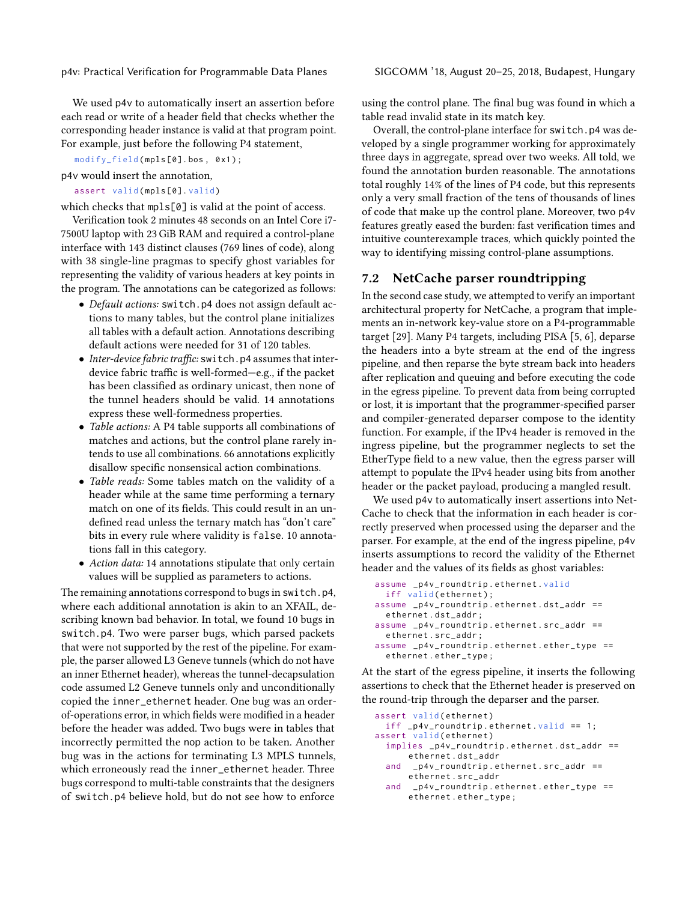We used p4v to automatically insert an assertion before each read or write of a header field that checks whether the corresponding header instance is valid at that program point. For example, just before the following P4 statement,

modify\_field (mpls [0]. bos, 0x1);

p4v would insert the annotation,

assert valid (mpls [0]. valid)

which checks that mpls[0] is valid at the point of access.

Verification took 2 minutes 48 seconds on an Intel Core i7- 7500U laptop with 23 GiB RAM and required a control-plane interface with 143 distinct clauses (769 lines of code), along with 38 single-line pragmas to specify ghost variables for representing the validity of various headers at key points in the program. The annotations can be categorized as follows:

- Default actions: switch.p4 does not assign default actions to many tables, but the control plane initializes all tables with a default action. Annotations describing default actions were needed for 31 of 120 tables.
- Inter-device fabric traffic: switch.p4 assumes that interdevice fabric traffic is well-formed—e.g., if the packet has been classified as ordinary unicast, then none of the tunnel headers should be valid. 14 annotations express these well-formedness properties.
- Table actions: A P4 table supports all combinations of matches and actions, but the control plane rarely intends to use all combinations. 66 annotations explicitly disallow specific nonsensical action combinations.
- Table reads: Some tables match on the validity of a header while at the same time performing a ternary match on one of its fields. This could result in an undefined read unless the ternary match has "don't care" bits in every rule where validity is false. 10 annotations fall in this category.
- Action data: 14 annotations stipulate that only certain values will be supplied as parameters to actions.

The remaining annotations correspond to bugs in switch.p4, where each additional annotation is akin to an XFAIL, describing known bad behavior. In total, we found 10 bugs in switch.p4. Two were parser bugs, which parsed packets that were not supported by the rest of the pipeline. For example, the parser allowed L3 Geneve tunnels (which do not have an inner Ethernet header), whereas the tunnel-decapsulation code assumed L2 Geneve tunnels only and unconditionally copied the inner\_ethernet header. One bug was an orderof-operations error, in which fields were modified in a header before the header was added. Two bugs were in tables that incorrectly permitted the nop action to be taken. Another bug was in the actions for terminating L3 MPLS tunnels, which erroneously read the inner\_ethernet header. Three bugs correspond to multi-table constraints that the designers of switch.p4 believe hold, but do not see how to enforce

using the control plane. The final bug was found in which a table read invalid state in its match key.

Overall, the control-plane interface for switch.p4 was developed by a single programmer working for approximately three days in aggregate, spread over two weeks. All told, we found the annotation burden reasonable. The annotations total roughly 14% of the lines of P4 code, but this represents only a very small fraction of the tens of thousands of lines of code that make up the control plane. Moreover, two p4v features greatly eased the burden: fast verification times and intuitive counterexample traces, which quickly pointed the way to identifying missing control-plane assumptions.

## 7.2 NetCache parser roundtripping

In the second case study, we attempted to verify an important architectural property for NetCache, a program that implements an in-network key-value store on a P4-programmable target [\[29\]](#page-13-5). Many P4 targets, including PISA [\[5,](#page-12-0) [6\]](#page-12-8), deparse the headers into a byte stream at the end of the ingress pipeline, and then reparse the byte stream back into headers after replication and queuing and before executing the code in the egress pipeline. To prevent data from being corrupted or lost, it is important that the programmer-specified parser and compiler-generated deparser compose to the identity function. For example, if the IPv4 header is removed in the ingress pipeline, but the programmer neglects to set the EtherType field to a new value, then the egress parser will attempt to populate the IPv4 header using bits from another header or the packet payload, producing a mangled result.

We used p4v to automatically insert assertions into Net-Cache to check that the information in each header is correctly preserved when processed using the deparser and the parser. For example, at the end of the ingress pipeline, p4v inserts assumptions to record the validity of the Ethernet header and the values of its fields as ghost variables:

```
assume _p4v_roundtrip . ethernet . valid
  iff valid (ethernet);
assume _p4v_roundtrip . ethernet . dst_addr ==
  ethernet . dst_addr ;
assume _p4v_roundtrip . ethernet . src_addr ==
  ethernet . src_addr ;
assume _p4v_roundtrip . ethernet . ether_type ==
  ethernet . ether_type ;
```
At the start of the egress pipeline, it inserts the following assertions to check that the Ethernet header is preserved on the round-trip through the deparser and the parser.

```
assert valid ( ethernet )
  iff _p4v_roundtrip . ethernet . valid == 1;
assert valid ( ethernet )
  implies _p4v_roundtrip . ethernet . dst_addr ==
      ethernet . dst_addr
  and _p4v_roundtrip.ethernet.src_addr ==
      ethernet . src_addr
  and _p4v_roundtrip . ethernet . ether_type ==
      ethernet . ether_type ;
```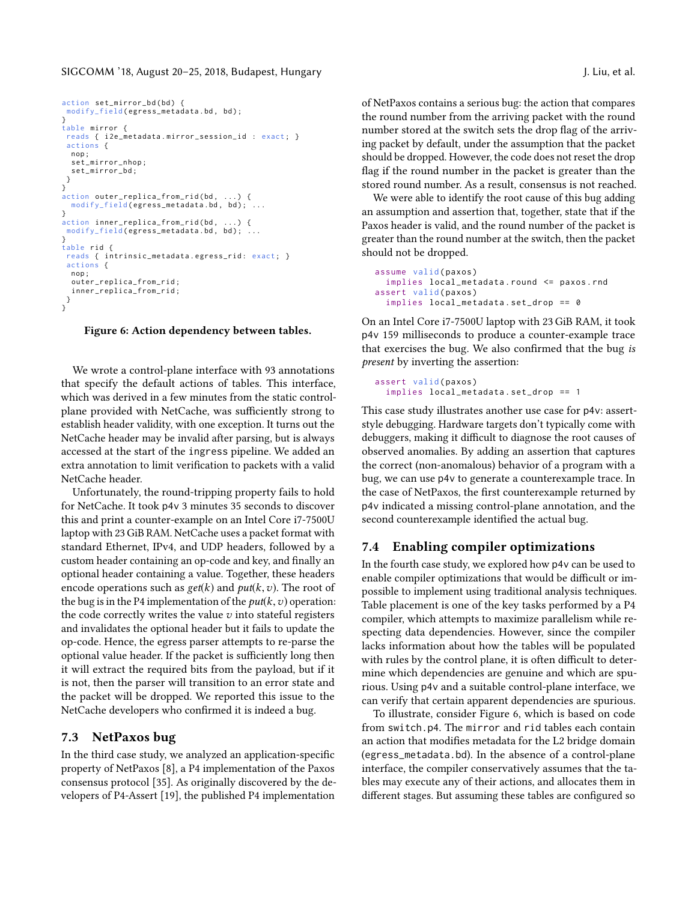SIGCOMM '18, August 20–25, 2018, Budapest, Hungary J. Liu, et al.

```
action set_mirror_bd(bd) {
modify_field ( egress_metadata . bd , bd ) ;
}
table mirror {
 reads { i2e_metadata.mirror_session_id : exact; }
 actions {
 nop ;
  set_mirror_nhop ;
  set_mirror_bd ;
 }
}
action outer_replica_from_rid(bd, ...) {<br>modify_field(egress_metadata.bd, bd); ...
}
action inner_replica_from_rid ( bd , ...) {
 modify\_field ( egress\_metadata.bd, bd); ...}
table rid {
 reads { intrinsic_metadata.egress_rid: exact; }
 actions {
  nop ;
  outer_replica_from_rid ;
  inner_replica_from_rid ;
 }
}
```
#### Figure 6: Action dependency between tables.

We wrote a control-plane interface with 93 annotations that specify the default actions of tables. This interface, which was derived in a few minutes from the static controlplane provided with NetCache, was sufficiently strong to establish header validity, with one exception. It turns out the NetCache header may be invalid after parsing, but is always accessed at the start of the ingress pipeline. We added an extra annotation to limit verification to packets with a valid NetCache header.

Unfortunately, the round-tripping property fails to hold for NetCache. It took p4v 3 minutes 35 seconds to discover this and print a counter-example on an Intel Core i7-7500U laptop with 23 GiB RAM. NetCache uses a packet format with standard Ethernet, IPv4, and UDP headers, followed by a custom header containing an op-code and key, and finally an optional header containing a value. Together, these headers encode operations such as  $get(k)$  and  $put(k, v)$ . The root of the bug is in the P4 implementation of the  $put(k, v)$  operation: the code correctly writes the value  $v$  into stateful registers and invalidates the optional header but it fails to update the op-code. Hence, the egress parser attempts to re-parse the optional value header. If the packet is sufficiently long then it will extract the required bits from the payload, but if it is not, then the parser will transition to an error state and the packet will be dropped. We reported this issue to the NetCache developers who confirmed it is indeed a bug.

## 7.3 NetPaxos bug

In the third case study, we analyzed an application-specific property of NetPaxos [\[8\]](#page-12-10), a P4 implementation of the Paxos consensus protocol [\[35\]](#page-13-36). As originally discovered by the developers of P4-Assert [\[19\]](#page-13-33), the published P4 implementation

of NetPaxos contains a serious bug: the action that compares the round number from the arriving packet with the round number stored at the switch sets the drop flag of the arriving packet by default, under the assumption that the packet should be dropped. However, the code does not reset the drop flag if the round number in the packet is greater than the stored round number. As a result, consensus is not reached.

We were able to identify the root cause of this bug adding an assumption and assertion that, together, state that if the Paxos header is valid, and the round number of the packet is greater than the round number at the switch, then the packet should not be dropped.

```
assume valid (paxos)
  implies local_metadata . round <= paxos . rnd
assert valid (paxos)
  implies local_metadata . set_drop == 0
```
On an Intel Core i7-7500U laptop with 23 GiB RAM, it took p4v 159 milliseconds to produce a counter-example trace that exercises the bug. We also confirmed that the bug is present by inverting the assertion:

```
assert valid (paxos)
  implies local_metadata . set_drop == 1
```
This case study illustrates another use case for p4v: assertstyle debugging. Hardware targets don't typically come with debuggers, making it difficult to diagnose the root causes of observed anomalies. By adding an assertion that captures the correct (non-anomalous) behavior of a program with a bug, we can use p4v to generate a counterexample trace. In the case of NetPaxos, the first counterexample returned by p4v indicated a missing control-plane annotation, and the second counterexample identified the actual bug.

### 7.4 Enabling compiler optimizations

In the fourth case study, we explored how p4v can be used to enable compiler optimizations that would be difficult or impossible to implement using traditional analysis techniques. Table placement is one of the key tasks performed by a P4 compiler, which attempts to maximize parallelism while respecting data dependencies. However, since the compiler lacks information about how the tables will be populated with rules by the control plane, it is often difficult to determine which dependencies are genuine and which are spurious. Using p4v and a suitable control-plane interface, we can verify that certain apparent dependencies are spurious.

To illustrate, consider [Figure 6,](#page-9-0) which is based on code from switch.p4. The mirror and rid tables each contain an action that modifies metadata for the L2 bridge domain (egress\_metadata.bd). In the absence of a control-plane interface, the compiler conservatively assumes that the tables may execute any of their actions, and allocates them in different stages. But assuming these tables are configured so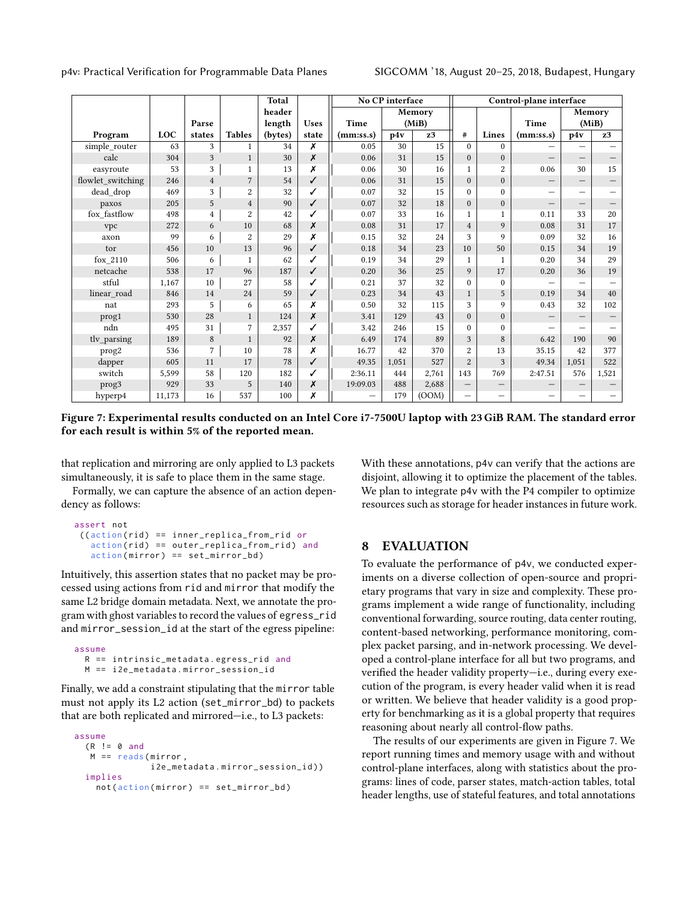<span id="page-10-0"></span>

|                   |        |                |                | <b>Total</b> |             | No CP interface |       | Control-plane interface |                          |                          |                   |                          |                                 |
|-------------------|--------|----------------|----------------|--------------|-------------|-----------------|-------|-------------------------|--------------------------|--------------------------|-------------------|--------------------------|---------------------------------|
|                   |        |                |                | header       |             |                 |       | Memory                  |                          |                          |                   | Memory                   |                                 |
|                   |        | Parse          |                | length       | <b>Uses</b> | Time            | (MiB) |                         |                          | Time                     |                   | (MiB)                    |                                 |
| Program           | LOC    | states         | <b>Tables</b>  | (bytes)      | state       | (mmiss.s)       | p4v   | z3                      | #                        | Lines                    | (mm:ss.s)         | p4v                      | z3                              |
| simple router     | 63     | 3              | $\mathbf{1}$   | 34           | Х           | 0.05            | 30    | 15                      | $\Omega$                 | $\mathbf{0}$             |                   |                          |                                 |
| calc              | 304    | 3              | $\mathbf{1}$   | 30           | X           | 0.06            | 31    | 15                      | $\overline{0}$           | $\mathbf{0}$             |                   | $\qquad \qquad -$        |                                 |
| easyroute         | 53     | 3              | $\mathbf{1}$   | 13           | Х           | 0.06            | 30    | 16                      | $\mathbf{1}$             | $\overline{c}$           | 0.06              | 30                       | 15                              |
| flowlet_switching | 246    | $\overline{4}$ | $\overline{7}$ | 54           | ✓           | 0.06            | 31    | 15                      | $\overline{0}$           | $\overline{0}$           |                   |                          |                                 |
| dead drop         | 469    | 3              | $\overline{2}$ | 32           |             | 0.07            | 32    | 15                      | $\overline{0}$           | $\mathbf{0}$             |                   | $\overline{\phantom{0}}$ |                                 |
| paxos             | 205    | 5              | $\overline{4}$ | 90           | $\sqrt{2}$  | 0.07            | 32    | 18                      | $\overline{0}$           | $\mathbf{0}$             | $\qquad \qquad -$ | $\overline{\phantom{0}}$ | $\qquad \qquad -$               |
| fox_fastflow      | 498    | $\overline{4}$ | $\overline{c}$ | 42           |             | 0.07            | 33    | 16                      | 1                        | 1                        | 0.11              | 33                       | 20                              |
| vpc               | 272    | 6              | 10             | 68           | X           | 0.08            | 31    | 17                      | $\overline{4}$           | 9                        | 0.08              | 31                       | 17                              |
| axon              | 99     | 6              | $\overline{c}$ | 29           | Х           | 0.15            | 32    | 24                      | 3                        | 9                        | 0.09              | 32                       | 16                              |
| tor               | 456    | 10             | 13             | 96           | ✓           | 0.18            | 34    | 23                      | 10                       | 50                       | 0.15              | 34                       | 19                              |
| fox 2110          | 506    | 6              | $\mathbf{1}$   | 62           | ✓           | 0.19            | 34    | 29                      | $\mathbf{1}$             | $\mathbf{1}$             | 0.20              | 34                       | 29                              |
| netcache          | 538    | 17             | 96             | 187          | ✓           | 0.20            | 36    | 25                      | 9                        | 17                       | 0.20              | 36                       | 19                              |
| stful             | 1,167  | 10             | 27             | 58           |             | 0.21            | 37    | 32                      | $\overline{0}$           | $\mathbf{0}$             |                   |                          |                                 |
| linear_road       | 846    | 14             | 24             | 59           | ✓           | 0.23            | 34    | 43                      | $\mathbf{1}$             | 5                        | 0.19              | 34                       | 40                              |
| nat               | 293    | 5              | 6              | 65           | x           | 0.50            | 32    | 115                     | 3                        | 9                        | 0.43              | 32                       | 102                             |
| prog1             | 530    | 28             | $\mathbf{1}$   | 124          | X           | 3.41            | 129   | 43                      | $\overline{0}$           | $\overline{0}$           |                   |                          | $\qquad \qquad -$               |
| ndn               | 495    | 31             | $\overline{7}$ | 2,357        |             | 3.42            | 246   | 15                      | $\Omega$                 | $\theta$                 |                   |                          |                                 |
| tlv_parsing       | 189    | 8              | $\mathbf{1}$   | 92           | X           | 6.49            | 174   | 89                      | 3                        | 8                        | 6.42              | 190                      | 90                              |
| prog <sub>2</sub> | 536    | $\overline{7}$ | 10             | 78           | Х           | 16.77           | 42    | 370                     | $\overline{c}$           | 13                       | 35.15             | 42                       | 377                             |
| dapper            | 605    | 11             | 17             | 78           | ✓           | 49.35           | 1,051 | 527                     | $\overline{2}$           | 3                        | 49.34             | 1,051                    | 522                             |
| switch            | 5,599  | 58             | 120            | 182          | ✓           | 2:36.11         | 444   | 2,761                   | 143                      | 769                      | 2:47.51           | 576                      | 1,521                           |
| prog3             | 929    | 33             | 5              | 140          | x           | 19:09.03        | 488   | 2,688                   | $\overline{\phantom{m}}$ | $\qquad \qquad -$        |                   |                          | $\hspace{0.1mm}-\hspace{0.1mm}$ |
| hyperp4           | 11,173 | 16             | 537            | 100          | Х           |                 | 179   | (00M)                   | $\qquad \qquad -$        | $\overline{\phantom{0}}$ |                   | —                        |                                 |

Figure 7: Experimental results conducted on an Intel Core i7-7500U laptop with 23 GiB RAM. The standard error for each result is within 5% of the reported mean.

that replication and mirroring are only applied to L3 packets simultaneously, it is safe to place them in the same stage.

Formally, we can capture the absence of an action dependency as follows:

```
assert not
((action (rid) == inner_replied from\_rid oraction ( rid) == outer_replied-from_rid) and
   action (mirror) == set_mirror_bd)
```
Intuitively, this assertion states that no packet may be processed using actions from rid and mirror that modify the same L2 bridge domain metadata. Next, we annotate the program with ghost variables to record the values of egress\_rid and mirror\_session\_id at the start of the egress pipeline:

```
assume
  R == intrinsic_metadata . egress_rid and
  M == i2e_metadata . mirror_session_id
```
Finally, we add a constraint stipulating that the mirror table must not apply its L2 action (set\_mirror\_bd) to packets that are both replicated and mirrored—i.e., to L3 packets:

```
assume
  (R \mid = 0 \text{ and}M == reads (mirror,
                 i2e_metadata . mirror_session_id ) )
  implies
    not ( action(mirror) == set_mirror_bd )
```
With these annotations, p4v can verify that the actions are disjoint, allowing it to optimize the placement of the tables. We plan to integrate p4v with the P4 compiler to optimize resources such as storage for header instances in future work.

## 8 EVALUATION

To evaluate the performance of p4v, we conducted experiments on a diverse collection of open-source and proprietary programs that vary in size and complexity. These programs implement a wide range of functionality, including conventional forwarding, source routing, data center routing, content-based networking, performance monitoring, complex packet parsing, and in-network processing. We developed a control-plane interface for all but two programs, and verified the header validity property—i.e., during every execution of the program, is every header valid when it is read or written. We believe that header validity is a good property for benchmarking as it is a global property that requires reasoning about nearly all control-flow paths.

The results of our experiments are given in Figure [7.](#page-10-0) We report running times and memory usage with and without control-plane interfaces, along with statistics about the programs: lines of code, parser states, match-action tables, total header lengths, use of stateful features, and total annotations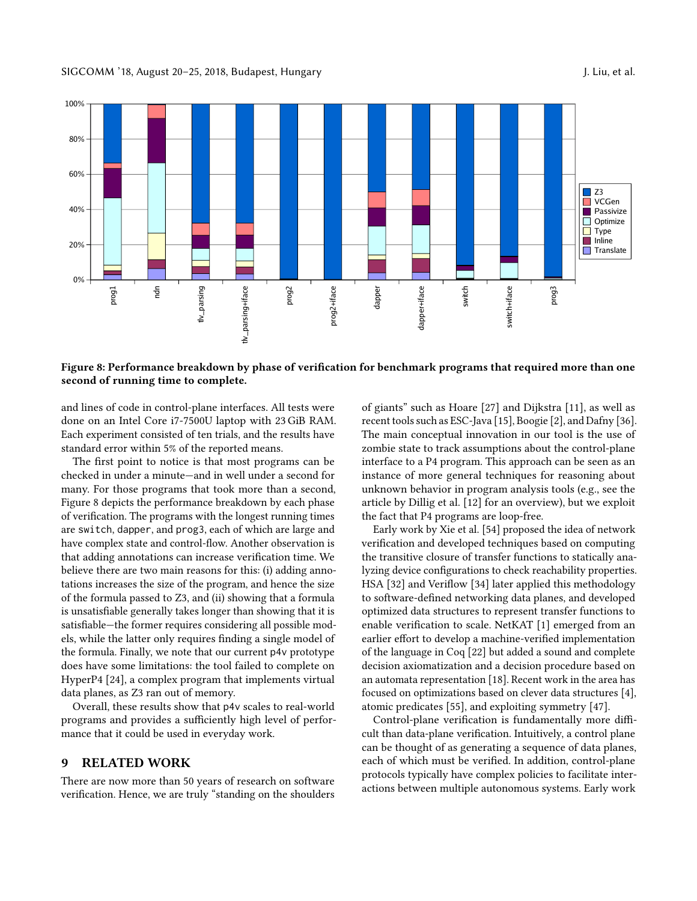<span id="page-11-0"></span>

Figure 8: Performance breakdown by phase of verification for benchmark programs that required more than one second of running time to complete.

and lines of code in control-plane interfaces. All tests were done on an Intel Core i7-7500U laptop with 23 GiB RAM. Each experiment consisted of ten trials, and the results have standard error within 5% of the reported means.

The first point to notice is that most programs can be checked in under a minute—and in well under a second for many. For those programs that took more than a second, Figure [8](#page-11-0) depicts the performance breakdown by each phase of verification. The programs with the longest running times are switch, dapper, and prog3, each of which are large and have complex state and control-flow. Another observation is that adding annotations can increase verification time. We believe there are two main reasons for this: (i) adding annotations increases the size of the program, and hence the size of the formula passed to Z3, and (ii) showing that a formula is unsatisfiable generally takes longer than showing that it is satisfiable—the former requires considering all possible models, while the latter only requires finding a single model of the formula. Finally, we note that our current p4v prototype does have some limitations: the tool failed to complete on HyperP4 [\[24\]](#page-13-37), a complex program that implements virtual data planes, as Z3 ran out of memory.

Overall, these results show that p4v scales to real-world programs and provides a sufficiently high level of performance that it could be used in everyday work.

# 9 RELATED WORK

There are now more than 50 years of research on software verification. Hence, we are truly "standing on the shoulders

of giants" such as Hoare [\[27\]](#page-13-38) and Dijkstra [\[11\]](#page-12-6), as well as recent tools such as ESC-Java [\[15\]](#page-12-11), Boogie [\[2\]](#page-12-9), and Dafny [\[36\]](#page-13-27). The main conceptual innovation in our tool is the use of zombie state to track assumptions about the control-plane interface to a P4 program. This approach can be seen as an instance of more general techniques for reasoning about unknown behavior in program analysis tools (e.g., see the article by Dillig et al. [\[12\]](#page-12-12) for an overview), but we exploit the fact that P4 programs are loop-free.

Early work by Xie et al. [\[54\]](#page-13-39) proposed the idea of network verification and developed techniques based on computing the transitive closure of transfer functions to statically analyzing device configurations to check reachability properties. HSA [\[32\]](#page-13-16) and Veriflow [\[34\]](#page-13-17) later applied this methodology to software-defined networking data planes, and developed optimized data structures to represent transfer functions to enable verification to scale. NetKAT [\[1\]](#page-12-2) emerged from an earlier effort to develop a machine-verified implementation of the language in Coq [\[22\]](#page-13-12) but added a sound and complete decision axiomatization and a decision procedure based on an automata representation [\[18\]](#page-13-14). Recent work in the area has focused on optimizations based on clever data structures [\[4\]](#page-12-13), atomic predicates [\[55\]](#page-13-23), and exploiting symmetry [\[47\]](#page-13-20).

Control-plane verification is fundamentally more difficult than data-plane verification. Intuitively, a control plane can be thought of as generating a sequence of data planes, each of which must be verified. In addition, control-plane protocols typically have complex policies to facilitate interactions between multiple autonomous systems. Early work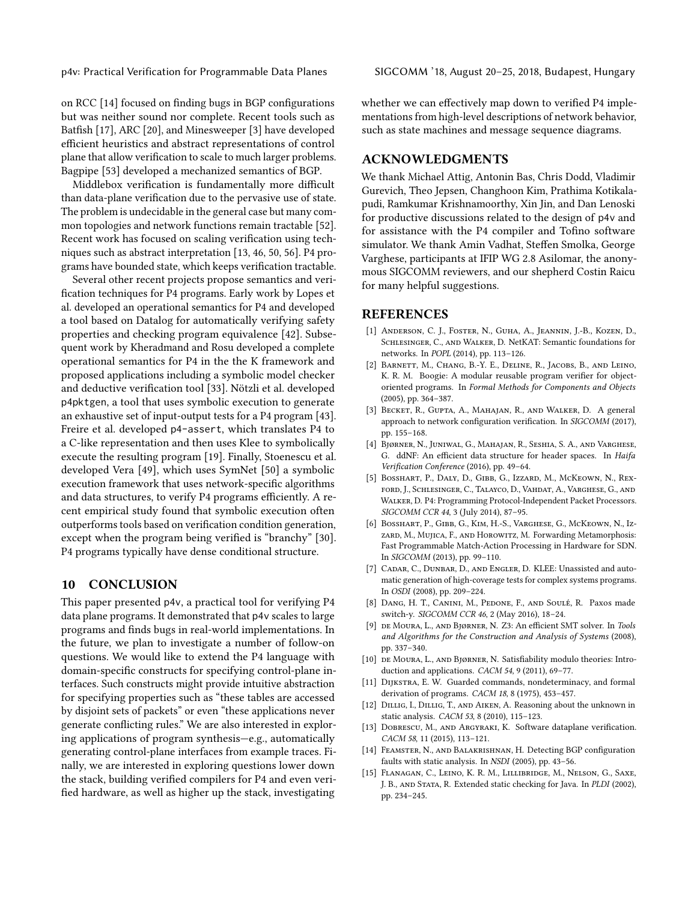on RCC [\[14\]](#page-12-14) focused on finding bugs in BGP configurations but was neither sound nor complete. Recent tools such as Batfish [\[17\]](#page-13-13), ARC [\[20\]](#page-13-15), and Minesweeper [\[3\]](#page-12-3) have developed efficient heuristics and abstract representations of control plane that allow verification to scale to much larger problems. Bagpipe [\[53\]](#page-13-22) developed a mechanized semantics of BGP.

Middlebox verification is fundamentally more difficult than data-plane verification due to the pervasive use of state. The problem is undecidable in the general case but many common topologies and network functions remain tractable [\[52\]](#page-13-40). Recent work has focused on scaling verification using techniques such as abstract interpretation [\[13,](#page-12-4) [46,](#page-13-19) [50,](#page-13-21) [56\]](#page-13-24). P4 programs have bounded state, which keeps verification tractable.

Several other recent projects propose semantics and verification techniques for P4 programs. Early work by Lopes et al. developed an operational semantics for P4 and developed a tool based on Datalog for automatically verifying safety properties and checking program equivalence [\[42\]](#page-13-29). Subsequent work by Kheradmand and Rosu developed a complete operational semantics for P4 in the the K framework and proposed applications including a symbolic model checker and deductive verification tool [\[33\]](#page-13-28). Nötzli et al. developed p4pktgen, a tool that uses symbolic execution to generate an exhaustive set of input-output tests for a P4 program [\[43\]](#page-13-34). Freire et al. developed p4-assert, which translates P4 to a C-like representation and then uses Klee to symbolically execute the resulting program [\[19\]](#page-13-33). Finally, Stoenescu et al. developed Vera [\[49\]](#page-13-41), which uses SymNet [\[50\]](#page-13-21) a symbolic execution framework that uses network-specific algorithms and data structures, to verify P4 programs efficiently. A recent empirical study found that symbolic execution often outperforms tools based on verification condition generation, except when the program being verified is "branchy" [\[30\]](#page-13-25). P4 programs typically have dense conditional structure.

## 10 CONCLUSION

This paper presented p4v, a practical tool for verifying P4 data plane programs. It demonstrated that p4v scales to large programs and finds bugs in real-world implementations. In the future, we plan to investigate a number of follow-on questions. We would like to extend the P4 language with domain-specific constructs for specifying control-plane interfaces. Such constructs might provide intuitive abstraction for specifying properties such as "these tables are accessed by disjoint sets of packets" or even "these applications never generate conflicting rules." We are also interested in exploring applications of program synthesis—e.g., automatically generating control-plane interfaces from example traces. Finally, we are interested in exploring questions lower down the stack, building verified compilers for P4 and even verified hardware, as well as higher up the stack, investigating

whether we can effectively map down to verified P4 implementations from high-level descriptions of network behavior, such as state machines and message sequence diagrams.

## ACKNOWLEDGMENTS

We thank Michael Attig, Antonin Bas, Chris Dodd, Vladimir Gurevich, Theo Jepsen, Changhoon Kim, Prathima Kotikalapudi, Ramkumar Krishnamoorthy, Xin Jin, and Dan Lenoski for productive discussions related to the design of p4v and for assistance with the P4 compiler and Tofino software simulator. We thank Amin Vadhat, Steffen Smolka, George Varghese, participants at IFIP WG 2.8 Asilomar, the anonymous SIGCOMM reviewers, and our shepherd Costin Raicu for many helpful suggestions.

#### REFERENCES

- <span id="page-12-2"></span>[1] Anderson, C. J., Foster, N., Guha, A., Jeannin, J.-B., Kozen, D., Schlesinger, C., and Walker, D. NetKAT: Semantic foundations for networks. In POPL (2014), pp. 113–126.
- <span id="page-12-9"></span>[2] Barnett, M., Chang, B.-Y. E., Deline, R., Jacobs, B., and Leino, K. R. M. Boogie: A modular reusable program verifier for objectoriented programs. In Formal Methods for Components and Objects (2005), pp. 364–387.
- <span id="page-12-3"></span>[3] Becket, R., Gupta, A., Mahajan, R., and Walker, D. A general approach to network configuration verification. In SIGCOMM (2017), pp. 155–168.
- <span id="page-12-13"></span>[4] Bjørner, N., Juniwal, G., Mahajan, R., Seshia, S. A., and Varghese, G. ddNF: An efficient data structure for header spaces. In Haifa Verification Conference (2016), pp. 49–64.
- <span id="page-12-0"></span>[5] Bosshart, P., Daly, D., Gibb, G., Izzard, M., McKeown, N., Rexford, J., Schlesinger, C., Talayco, D., Vahdat, A., Varghese, G., and Walker, D. P4: Programming Protocol-Independent Packet Processors. SIGCOMM CCR 44, 3 (July 2014), 87–95.
- <span id="page-12-8"></span>[6] Bosshart, P., Gibb, G., Kim, H.-S., Varghese, G., McKeown, N., Izzard, M., Mujica, F., and Horowitz, M. Forwarding Metamorphosis: Fast Programmable Match-Action Processing in Hardware for SDN. In SIGCOMM (2013), pp. 99–110.
- <span id="page-12-5"></span>[7] CADAR, C., DUNBAR, D., AND ENGLER, D. KLEE: Unassisted and automatic generation of high-coverage tests for complex systems programs. In OSDI (2008), pp. 209–224.
- <span id="page-12-10"></span>[8] Dang, H. T., Canini, M., Pedone, F., and Soulé, R. Paxos made switch-y. SIGCOMM CCR 46, 2 (May 2016), 18–24.
- <span id="page-12-7"></span>[9] de Moura, L., and Bjørner, N. Z3: An efficient SMT solver. In Tools and Algorithms for the Construction and Analysis of Systems (2008), pp. 337–340.
- <span id="page-12-1"></span>[10] DE MOURA, L., AND BJØRNER, N. Satisfiability modulo theories: Introduction and applications. CACM 54, 9 (2011), 69–77.
- <span id="page-12-6"></span>[11] DIJKSTRA, E. W. Guarded commands, nondeterminacy, and formal derivation of programs. CACM 18, 8 (1975), 453–457.
- <span id="page-12-12"></span>[12] DILLIG, I., DILLIG, T., AND AIKEN, A. Reasoning about the unknown in static analysis. CACM 53, 8 (2010), 115–123.
- <span id="page-12-4"></span>[13] DOBRESCU, M., AND ARGYRAKI, K. Software dataplane verification. CACM 58, 11 (2015), 113–121.
- <span id="page-12-14"></span>[14] Feamster, N., and Balakrishnan, H. Detecting BGP configuration faults with static analysis. In NSDI (2005), pp. 43–56.
- <span id="page-12-11"></span>[15] Flanagan, C., Leino, K. R. M., Lillibridge, M., Nelson, G., Saxe, J. B., and Stata, R. Extended static checking for Java. In PLDI (2002), pp. 234–245.